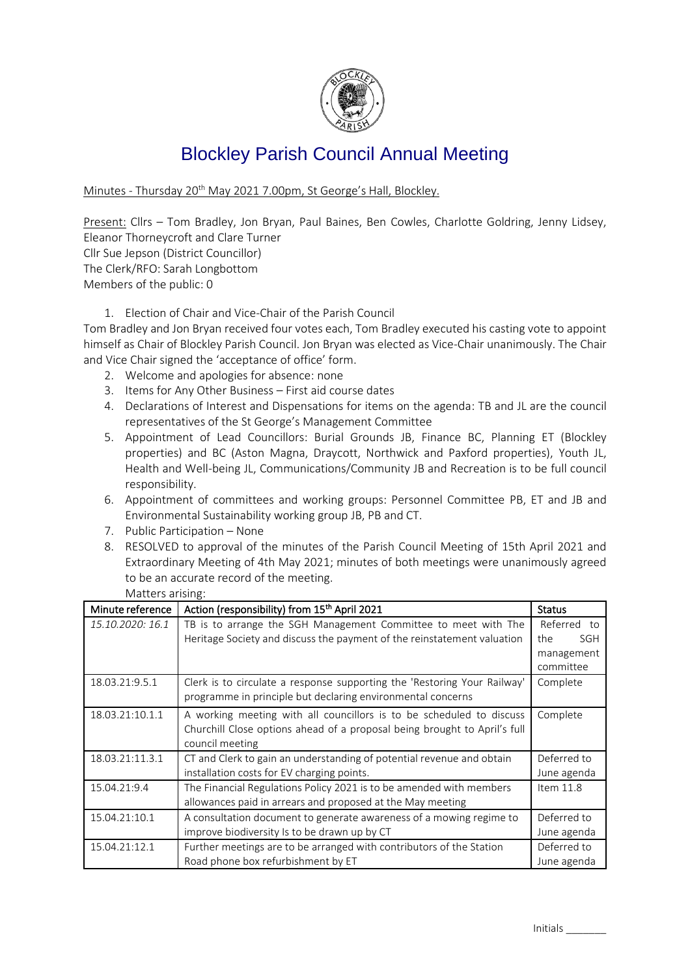

## Blockley Parish Council Annual Meeting

Minutes - Thursday 20<sup>th</sup> May 2021 7.00pm, St George's Hall, Blockley.

Present: Cllrs - Tom Bradley, Jon Bryan, Paul Baines, Ben Cowles, Charlotte Goldring, Jenny Lidsey, Eleanor Thorneycroft and Clare Turner

Cllr Sue Jepson (District Councillor) The Clerk/RFO: Sarah Longbottom Members of the public: 0

1. Election of Chair and Vice-Chair of the Parish Council

Tom Bradley and Jon Bryan received four votes each, Tom Bradley executed his casting vote to appoint himself as Chair of Blockley Parish Council. Jon Bryan was elected as Vice-Chair unanimously. The Chair and Vice Chair signed the 'acceptance of office' form.

- 2. Welcome and apologies for absence: none
- 3. Items for Any Other Business First aid course dates
- 4. Declarations of Interest and Dispensations for items on the agenda: TB and JL are the council representatives of the St George's Management Committee
- 5. Appointment of Lead Councillors: Burial Grounds JB, Finance BC, Planning ET (Blockley properties) and BC (Aston Magna, Draycott, Northwick and Paxford properties), Youth JL, Health and Well-being JL, Communications/Community JB and Recreation is to be full council responsibility.
- 6. Appointment of committees and working groups: Personnel Committee PB, ET and JB and Environmental Sustainability working group JB, PB and CT.
- 7. Public Participation None
- 8. RESOLVED to approval of the minutes of the Parish Council Meeting of 15th April 2021 and Extraordinary Meeting of 4th May 2021; minutes of both meetings were unanimously agreed to be an accurate record of the meeting.

| Matters arising: |  |
|------------------|--|

| Minute reference | Action (responsibility) from 15th April 2021                              | <b>Status</b>     |
|------------------|---------------------------------------------------------------------------|-------------------|
| 15.10.2020: 16.1 | TB is to arrange the SGH Management Committee to meet with The            | Referred to       |
|                  | Heritage Society and discuss the payment of the reinstatement valuation   | the<br><b>SGH</b> |
|                  |                                                                           | management        |
|                  |                                                                           | committee         |
| 18.03.21:9.5.1   | Clerk is to circulate a response supporting the 'Restoring Your Railway'  | Complete          |
|                  | programme in principle but declaring environmental concerns               |                   |
| 18.03.21:10.1.1  | A working meeting with all councillors is to be scheduled to discuss      | Complete          |
|                  | Churchill Close options ahead of a proposal being brought to April's full |                   |
|                  | council meeting                                                           |                   |
| 18.03.21:11.3.1  | CT and Clerk to gain an understanding of potential revenue and obtain     | Deferred to       |
|                  | installation costs for EV charging points.                                | June agenda       |
| 15.04.21:9.4     | The Financial Regulations Policy 2021 is to be amended with members       | Item $11.8$       |
|                  | allowances paid in arrears and proposed at the May meeting                |                   |
| 15.04.21:10.1    | A consultation document to generate awareness of a mowing regime to       | Deferred to       |
|                  | improve biodiversity Is to be drawn up by CT                              | June agenda       |
| 15.04.21:12.1    | Further meetings are to be arranged with contributors of the Station      | Deferred to       |
|                  | Road phone box refurbishment by ET                                        | June agenda       |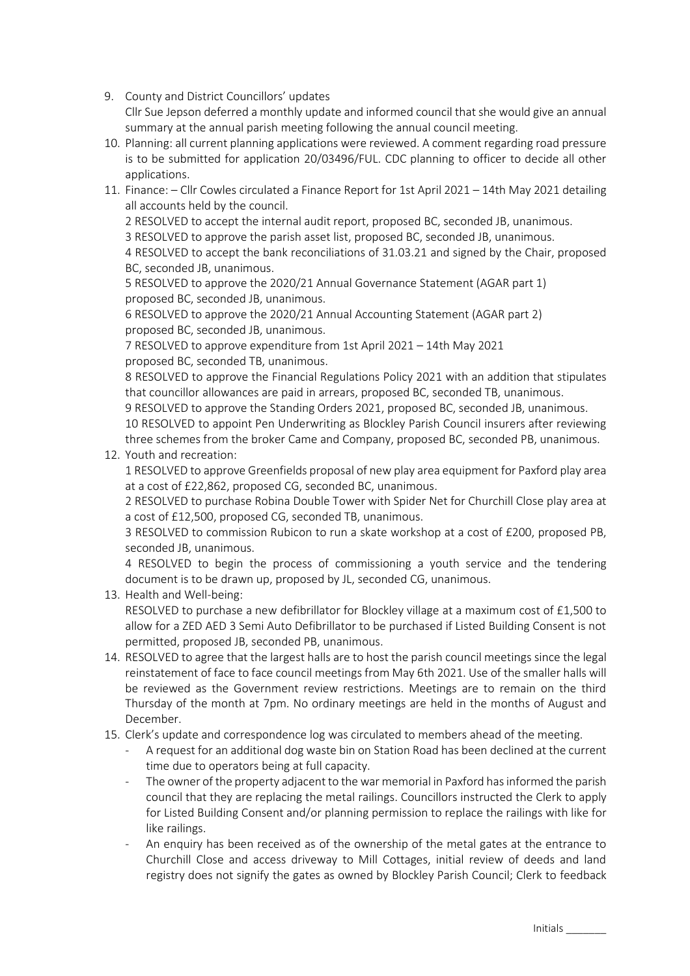9. County and District Councillors' updates Cllr Sue Jepson deferred a monthly update and informed council that she would give an annual summary at the annual parish meeting following the annual council meeting.

- 10. Planning: all current planning applications were reviewed. A comment regarding road pressure is to be submitted for application 20/03496/FUL. CDC planning to officer to decide all other applications.
- 11. Finance: Cllr Cowles circulated a Finance Report for 1st April 2021 14th May 2021 detailing all accounts held by the council.
	- 2 RESOLVED to accept the internal audit report, proposed BC, seconded JB, unanimous.
	- 3 RESOLVED to approve the parish asset list, proposed BC, seconded JB, unanimous.

4 RESOLVED to accept the bank reconciliations of 31.03.21 and signed by the Chair, proposed BC, seconded JB, unanimous.

5 RESOLVED to approve the 2020/21 Annual Governance Statement (AGAR part 1) proposed BC, seconded JB, unanimous.

6 RESOLVED to approve the 2020/21 Annual Accounting Statement (AGAR part 2) proposed BC, seconded JB, unanimous.

7 RESOLVED to approve expenditure from 1st April 2021 – 14th May 2021 proposed BC, seconded TB, unanimous.

8 RESOLVED to approve the Financial Regulations Policy 2021 with an addition that stipulates that councillor allowances are paid in arrears, proposed BC, seconded TB, unanimous.

9 RESOLVED to approve the Standing Orders 2021, proposed BC, seconded JB, unanimous.

10 RESOLVED to appoint Pen Underwriting as Blockley Parish Council insurers after reviewing three schemes from the broker Came and Company, proposed BC, seconded PB, unanimous.

12. Youth and recreation:

1 RESOLVED to approve Greenfields proposal of new play area equipment for Paxford play area at a cost of £22,862, proposed CG, seconded BC, unanimous.

2 RESOLVED to purchase Robina Double Tower with Spider Net for Churchill Close play area at a cost of £12,500, proposed CG, seconded TB, unanimous.

3 RESOLVED to commission Rubicon to run a skate workshop at a cost of £200, proposed PB, seconded JB, unanimous.

4 RESOLVED to begin the process of commissioning a youth service and the tendering document is to be drawn up, proposed by JL, seconded CG, unanimous.

13. Health and Well-being:

RESOLVED to purchase a new defibrillator for Blockley village at a maximum cost of £1,500 to allow for a ZED AED 3 Semi Auto Defibrillator to be purchased if Listed Building Consent is not permitted, proposed JB, seconded PB, unanimous.

- 14. RESOLVED to agree that the largest halls are to host the parish council meetings since the legal reinstatement of face to face council meetings from May 6th 2021. Use of the smaller halls will be reviewed as the Government review restrictions. Meetings are to remain on the third Thursday of the month at 7pm. No ordinary meetings are held in the months of August and December.
- 15. Clerk's update and correspondence log was circulated to members ahead of the meeting.
	- A request for an additional dog waste bin on Station Road has been declined at the current time due to operators being at full capacity.
	- The owner of the property adjacent to the war memorial in Paxford has informed the parish council that they are replacing the metal railings. Councillors instructed the Clerk to apply for Listed Building Consent and/or planning permission to replace the railings with like for like railings.
	- An enquiry has been received as of the ownership of the metal gates at the entrance to Churchill Close and access driveway to Mill Cottages, initial review of deeds and land registry does not signify the gates as owned by Blockley Parish Council; Clerk to feedback